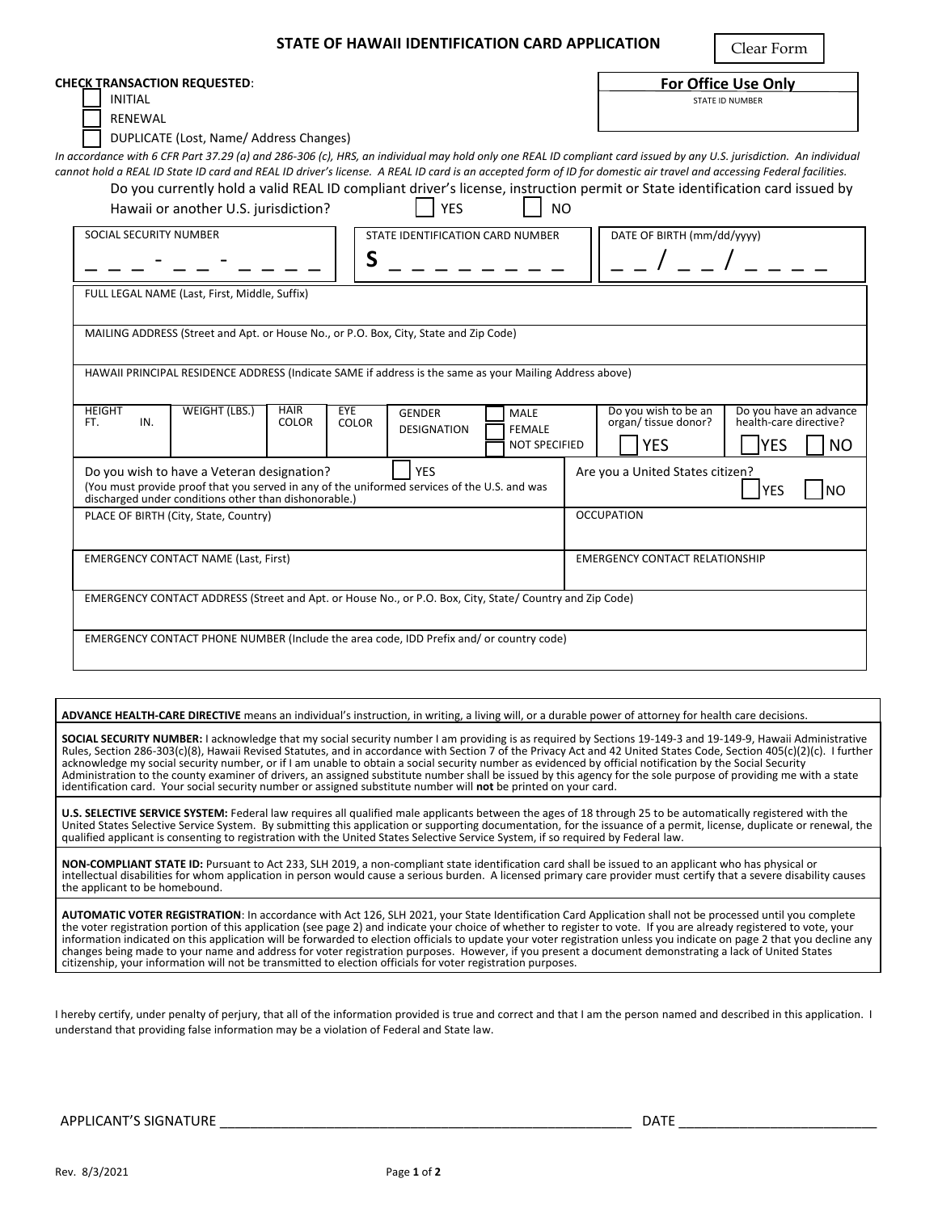## **STATE OF HAWAII IDENTIFICATION CARD APPLICATION**

Clear Form

| <b>CHECK TRANSACTION REQUESTED:</b><br><b>INITIAL</b><br><b>RENEWAL</b>                                                                                                                                                                                                                                                                                                                                                                                                                                                                                       |                             |                     |                                     |                                                      |  |                                                                  | <b>For Office Use Only</b><br><b>STATE ID NUMBER</b>           |  |
|---------------------------------------------------------------------------------------------------------------------------------------------------------------------------------------------------------------------------------------------------------------------------------------------------------------------------------------------------------------------------------------------------------------------------------------------------------------------------------------------------------------------------------------------------------------|-----------------------------|---------------------|-------------------------------------|------------------------------------------------------|--|------------------------------------------------------------------|----------------------------------------------------------------|--|
| DUPLICATE (Lost, Name/ Address Changes)<br>In accordance with 6 CFR Part 37.29 (a) and 286-306 (c), HRS, an individual may hold only one REAL ID compliant card issued by any U.S. jurisdiction. An individual<br>cannot hold a REAL ID State ID card and REAL ID driver's license. A REAL ID card is an accepted form of ID for domestic air travel and accessing Federal facilities.<br>Do you currently hold a valid REAL ID compliant driver's license, instruction permit or State identification card issued by<br>Hawaii or another U.S. jurisdiction? |                             |                     | <b>YES</b>                          | <b>NO</b>                                            |  |                                                                  |                                                                |  |
| SOCIAL SECURITY NUMBER<br>STATE IDENTIFICATION CARD NUMBER<br>S                                                                                                                                                                                                                                                                                                                                                                                                                                                                                               |                             |                     |                                     |                                                      |  | DATE OF BIRTH (mm/dd/yyyy)                                       |                                                                |  |
| FULL LEGAL NAME (Last, First, Middle, Suffix)                                                                                                                                                                                                                                                                                                                                                                                                                                                                                                                 |                             |                     |                                     |                                                      |  |                                                                  |                                                                |  |
| MAILING ADDRESS (Street and Apt. or House No., or P.O. Box, City, State and Zip Code)<br>HAWAII PRINCIPAL RESIDENCE ADDRESS (Indicate SAME if address is the same as your Mailing Address above)                                                                                                                                                                                                                                                                                                                                                              |                             |                     |                                     |                                                      |  |                                                                  |                                                                |  |
| <b>HEIGHT</b><br><b>WEIGHT (LBS.)</b><br>FT.<br>IN.                                                                                                                                                                                                                                                                                                                                                                                                                                                                                                           | <b>HAIR</b><br><b>COLOR</b> | EYE<br><b>COLOR</b> | <b>GENDER</b><br><b>DESIGNATION</b> | <b>MALE</b><br><b>FEMALE</b><br><b>NOT SPECIFIED</b> |  | Do you wish to be an<br>organ/ tissue donor?<br><b>YES</b>       | Do you have an advance<br>health-care directive?<br>lyes<br>NO |  |
| <b>YES</b><br>Do you wish to have a Veteran designation?<br>(You must provide proof that you served in any of the uniformed services of the U.S. and was<br>discharged under conditions other than dishonorable.)                                                                                                                                                                                                                                                                                                                                             |                             |                     |                                     |                                                      |  | Are you a United States citizen?<br><b>YES</b><br>N <sub>O</sub> |                                                                |  |
| PLACE OF BIRTH (City, State, Country)                                                                                                                                                                                                                                                                                                                                                                                                                                                                                                                         |                             |                     |                                     |                                                      |  | <b>OCCUPATION</b>                                                |                                                                |  |
| <b>EMERGENCY CONTACT NAME (Last, First)</b>                                                                                                                                                                                                                                                                                                                                                                                                                                                                                                                   |                             |                     |                                     |                                                      |  | <b>EMERGENCY CONTACT RELATIONSHIP</b>                            |                                                                |  |
| EMERGENCY CONTACT ADDRESS (Street and Apt. or House No., or P.O. Box, City, State/ Country and Zip Code)                                                                                                                                                                                                                                                                                                                                                                                                                                                      |                             |                     |                                     |                                                      |  |                                                                  |                                                                |  |
| EMERGENCY CONTACT PHONE NUMBER (Include the area code, IDD Prefix and/or country code)                                                                                                                                                                                                                                                                                                                                                                                                                                                                        |                             |                     |                                     |                                                      |  |                                                                  |                                                                |  |

**ADVANCE HEALTH-CARE DIRECTIVE** means an individual's instruction, in writing, a living will, or a durable power of attorney for health care decisions.

**SOCIAL SECURITY NUMBER:** I acknowledge that my social security number I am providing is as required by Sections 19-149-3 and 19-149-9, Hawaii Administrative Rules, Section 286-303(c)(8), Hawaii Revised Statutes, and in accordance with Section 7 of the Privacy Act and 42 United States Code, Section 405(c)(2)(c). I further acknowledge my social security number, or if I am unable to obtain a social security number as evidenced by official notification by the Social Security Administration to the county examiner of drivers, an assigned substitute number shall be issued by this agency for the sole purpose of providing me with a state identification card. Your social security number or assigned substitute number will **not** be printed on your card.

**U.S. SELECTIVE SERVICE SYSTEM:** Federal law requires all qualified male applicants between the ages of 18 through 25 to be automatically registered with the United States Selective Service System. By submitting this application or supporting documentation, for the issuance of a permit, license, duplicate or renewal, the qualified applicant is consenting to registration with the United States Selective Service System, if so required by Federal law.

**NON-COMPLIANT STATE ID:** Pursuant to Act 233, SLH 2019, a non-compliant state identification card shall be issued to an applicant who has physical or intellectual disabilities for whom application in person would cause a serious burden. A licensed primary care provider must certify that a severe disability causes the applicant to be homebound.

**AUTOMATIC VOTER REGISTRATION**: In accordance with Act 126, SLH 2021, your State Identification Card Application shall not be processed until you complete the voter registration portion of this application (see page 2) and indicate your choice of whether to register to vote. If you are already registered to vote, your information indicated on this application will be forwarded to election officials to update your voter registration unless you indicate on page 2 that you decline any changes being made to your name and address for voter registration purposes. However, if you present a document demonstrating a lack of United States citizenship, your information will not be transmitted to election officials for voter registration purposes.

I hereby certify, under penalty of perjury, that all of the information provided is true and correct and that I am the person named and described in this application. I understand that providing false information may be a violation of Federal and State law.

APPLICANT'S SIGNATURE \_\_\_\_\_\_\_\_\_\_\_\_\_\_\_\_\_\_\_\_\_\_\_\_\_\_\_\_\_\_\_\_\_\_\_\_\_\_\_\_\_\_\_\_\_\_\_\_\_\_\_\_\_\_ DATE \_\_\_\_\_\_\_\_\_\_\_\_\_\_\_\_\_\_\_\_\_\_\_\_\_\_